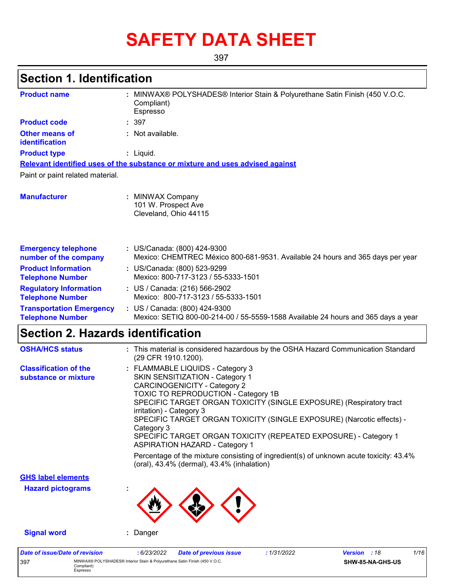# **SAFETY DATA SHEET**

397

# **Section 1. Identification**

| <b>Product name</b>                                        | MINWAX® POLYSHADES® Interior Stain & Polyurethane Satin Finish (450 V.O.C.<br>Compliant)<br>Espresso                                                                                                                                                                                                                                                                                                                                                                                                                                                                                            |
|------------------------------------------------------------|-------------------------------------------------------------------------------------------------------------------------------------------------------------------------------------------------------------------------------------------------------------------------------------------------------------------------------------------------------------------------------------------------------------------------------------------------------------------------------------------------------------------------------------------------------------------------------------------------|
| <b>Product code</b>                                        | : 397                                                                                                                                                                                                                                                                                                                                                                                                                                                                                                                                                                                           |
| <b>Other means of</b><br>identification                    | : Not available.                                                                                                                                                                                                                                                                                                                                                                                                                                                                                                                                                                                |
| <b>Product type</b>                                        | : Liquid.                                                                                                                                                                                                                                                                                                                                                                                                                                                                                                                                                                                       |
|                                                            | Relevant identified uses of the substance or mixture and uses advised against                                                                                                                                                                                                                                                                                                                                                                                                                                                                                                                   |
| Paint or paint related material.                           |                                                                                                                                                                                                                                                                                                                                                                                                                                                                                                                                                                                                 |
| <b>Manufacturer</b>                                        | : MINWAX Company<br>101 W. Prospect Ave<br>Cleveland, Ohio 44115                                                                                                                                                                                                                                                                                                                                                                                                                                                                                                                                |
| <b>Emergency telephone</b><br>number of the company        | : US/Canada: (800) 424-9300<br>Mexico: CHEMTREC México 800-681-9531. Available 24 hours and 365 days per year                                                                                                                                                                                                                                                                                                                                                                                                                                                                                   |
| <b>Product Information</b><br><b>Telephone Number</b>      | : US/Canada: (800) 523-9299<br>Mexico: 800-717-3123 / 55-5333-1501                                                                                                                                                                                                                                                                                                                                                                                                                                                                                                                              |
| <b>Regulatory Information</b><br><b>Telephone Number</b>   | : US / Canada: (216) 566-2902<br>Mexico: 800-717-3123 / 55-5333-1501                                                                                                                                                                                                                                                                                                                                                                                                                                                                                                                            |
| <b>Transportation Emergency</b><br><b>Telephone Number</b> | : US / Canada: (800) 424-9300<br>Mexico: SETIQ 800-00-214-00 / 55-5559-1588 Available 24 hours and 365 days a year                                                                                                                                                                                                                                                                                                                                                                                                                                                                              |
| <b>Section 2. Hazards identification</b>                   |                                                                                                                                                                                                                                                                                                                                                                                                                                                                                                                                                                                                 |
| <b>OSHA/HCS status</b>                                     | : This material is considered hazardous by the OSHA Hazard Communication Standard<br>(29 CFR 1910.1200).                                                                                                                                                                                                                                                                                                                                                                                                                                                                                        |
| <b>Classification of the</b><br>substance or mixture       | : FLAMMABLE LIQUIDS - Category 3<br>SKIN SENSITIZATION - Category 1<br><b>CARCINOGENICITY - Category 2</b><br>TOXIC TO REPRODUCTION - Category 1B<br>SPECIFIC TARGET ORGAN TOXICITY (SINGLE EXPOSURE) (Respiratory tract<br>irritation) - Category 3<br>SPECIFIC TARGET ORGAN TOXICITY (SINGLE EXPOSURE) (Narcotic effects) -<br>Category 3<br>SPECIFIC TARGET ORGAN TOXICITY (REPEATED EXPOSURE) - Category 1<br><b>ASPIRATION HAZARD - Category 1</b><br>Percentage of the mixture consisting of ingredient(s) of unknown acute toxicity: 43.4%<br>(oral), 43.4% (dermal), 43.4% (inhalation) |
| <b>GHS label elements</b>                                  |                                                                                                                                                                                                                                                                                                                                                                                                                                                                                                                                                                                                 |
| <b>Hazard pictograms</b>                                   |                                                                                                                                                                                                                                                                                                                                                                                                                                                                                                                                                                                                 |
| <b>Signal word</b>                                         | Danger<br>t.                                                                                                                                                                                                                                                                                                                                                                                                                                                                                                                                                                                    |
|                                                            |                                                                                                                                                                                                                                                                                                                                                                                                                                                                                                                                                                                                 |

| Date of issue/Date of revision |                                                                                                      | 6/23/2022 | <b>Date of previous issue</b> | 1/31/2022 | <b>Version</b> : 18     | 1/16 |
|--------------------------------|------------------------------------------------------------------------------------------------------|-----------|-------------------------------|-----------|-------------------------|------|
| 397                            | MINWAX® POLYSHADES® Interior Stain & Polvurethane Satin Finish (450 V.O.C.<br>Compliant)<br>Espresso |           |                               |           | <b>SHW-85-NA-GHS-US</b> |      |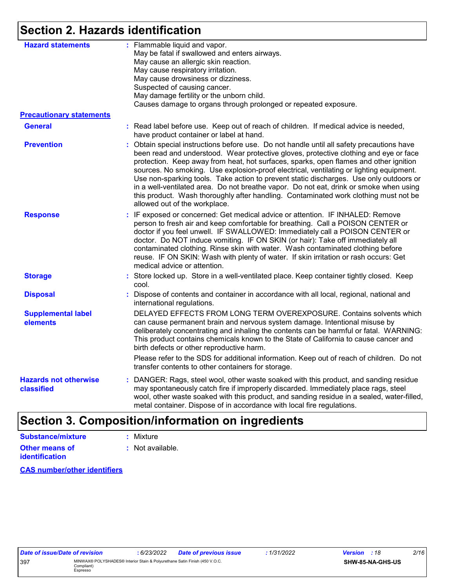### **Section 2. Hazards identification**

| <b>Hazard statements</b>                   | : Flammable liquid and vapor.<br>May be fatal if swallowed and enters airways.<br>May cause an allergic skin reaction.<br>May cause respiratory irritation.<br>May cause drowsiness or dizziness.<br>Suspected of causing cancer.<br>May damage fertility or the unborn child.<br>Causes damage to organs through prolonged or repeated exposure.                                                                                                                                                                                                                                                                                                                                 |
|--------------------------------------------|-----------------------------------------------------------------------------------------------------------------------------------------------------------------------------------------------------------------------------------------------------------------------------------------------------------------------------------------------------------------------------------------------------------------------------------------------------------------------------------------------------------------------------------------------------------------------------------------------------------------------------------------------------------------------------------|
| <b>Precautionary statements</b>            |                                                                                                                                                                                                                                                                                                                                                                                                                                                                                                                                                                                                                                                                                   |
| <b>General</b>                             | : Read label before use. Keep out of reach of children. If medical advice is needed,<br>have product container or label at hand.                                                                                                                                                                                                                                                                                                                                                                                                                                                                                                                                                  |
| <b>Prevention</b>                          | Obtain special instructions before use. Do not handle until all safety precautions have<br>been read and understood. Wear protective gloves, protective clothing and eye or face<br>protection. Keep away from heat, hot surfaces, sparks, open flames and other ignition<br>sources. No smoking. Use explosion-proof electrical, ventilating or lighting equipment.<br>Use non-sparking tools. Take action to prevent static discharges. Use only outdoors or<br>in a well-ventilated area. Do not breathe vapor. Do not eat, drink or smoke when using<br>this product. Wash thoroughly after handling. Contaminated work clothing must not be<br>allowed out of the workplace. |
| <b>Response</b>                            | : IF exposed or concerned: Get medical advice or attention. IF INHALED: Remove<br>person to fresh air and keep comfortable for breathing. Call a POISON CENTER or<br>doctor if you feel unwell. IF SWALLOWED: Immediately call a POISON CENTER or<br>doctor. Do NOT induce vomiting. IF ON SKIN (or hair): Take off immediately all<br>contaminated clothing. Rinse skin with water. Wash contaminated clothing before<br>reuse. IF ON SKIN: Wash with plenty of water. If skin irritation or rash occurs: Get<br>medical advice or attention.                                                                                                                                    |
| <b>Storage</b>                             | : Store locked up. Store in a well-ventilated place. Keep container tightly closed. Keep<br>cool.                                                                                                                                                                                                                                                                                                                                                                                                                                                                                                                                                                                 |
| <b>Disposal</b>                            | Dispose of contents and container in accordance with all local, regional, national and<br>international regulations.                                                                                                                                                                                                                                                                                                                                                                                                                                                                                                                                                              |
| <b>Supplemental label</b><br>elements      | DELAYED EFFECTS FROM LONG TERM OVEREXPOSURE. Contains solvents which<br>can cause permanent brain and nervous system damage. Intentional misuse by<br>deliberately concentrating and inhaling the contents can be harmful or fatal. WARNING:<br>This product contains chemicals known to the State of California to cause cancer and<br>birth defects or other reproductive harm.                                                                                                                                                                                                                                                                                                 |
|                                            | Please refer to the SDS for additional information. Keep out of reach of children. Do not<br>transfer contents to other containers for storage.                                                                                                                                                                                                                                                                                                                                                                                                                                                                                                                                   |
| <b>Hazards not otherwise</b><br>classified | DANGER: Rags, steel wool, other waste soaked with this product, and sanding residue<br>may spontaneously catch fire if improperly discarded. Immediately place rags, steel<br>wool, other waste soaked with this product, and sanding residue in a sealed, water-filled,<br>metal container. Dispose of in accordance with local fire regulations.                                                                                                                                                                                                                                                                                                                                |
|                                            |                                                                                                                                                                                                                                                                                                                                                                                                                                                                                                                                                                                                                                                                                   |

### **Section 3. Composition/information on ingredients**

| <b>Substance/mixture</b> | : Mixture        |
|--------------------------|------------------|
| Other means of           | : Not available. |
| <b>identification</b>    |                  |

**CAS number/other identifiers**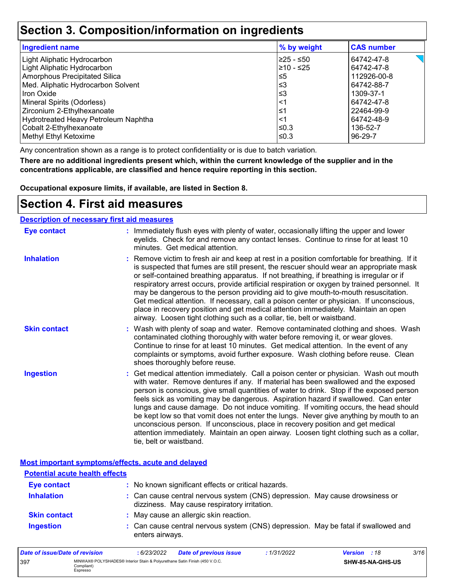### **Section 3. Composition/information on ingredients**

| <b>Ingredient name</b>               | % by weight | <b>CAS number</b> |
|--------------------------------------|-------------|-------------------|
| Light Aliphatic Hydrocarbon          | l≥25 - ≤50  | 64742-47-8        |
| Light Aliphatic Hydrocarbon          | 210 - ≤25   | 64742-47-8        |
| Amorphous Precipitated Silica        | $\leq 5$    | 112926-00-8       |
| Med. Aliphatic Hydrocarbon Solvent   | $≤3$        | 64742-88-7        |
| Iron Oxide                           | '≤3         | 1309-37-1         |
| Mineral Spirits (Odorless)           | $<$ 1       | 64742-47-8        |
| Zirconium 2-Ethylhexanoate           | 1≤          | 22464-99-9        |
| Hydrotreated Heavy Petroleum Naphtha | $\leq$ 1    | 64742-48-9        |
| Cobalt 2-Ethylhexanoate              | l≤0.3       | 136-52-7          |
| Methyl Ethyl Ketoxime                | l≤0.3       | 96-29-7           |

Any concentration shown as a range is to protect confidentiality or is due to batch variation.

**There are no additional ingredients present which, within the current knowledge of the supplier and in the concentrations applicable, are classified and hence require reporting in this section.**

**Occupational exposure limits, if available, are listed in Section 8.**

### **Section 4. First aid measures**

| <b>Description of necessary first aid measures</b> |                                                                                                                                                                                                                                                                                                                                                                                                                                                                                                                                                                                                                                                                                                                                                         |
|----------------------------------------------------|---------------------------------------------------------------------------------------------------------------------------------------------------------------------------------------------------------------------------------------------------------------------------------------------------------------------------------------------------------------------------------------------------------------------------------------------------------------------------------------------------------------------------------------------------------------------------------------------------------------------------------------------------------------------------------------------------------------------------------------------------------|
| <b>Eye contact</b>                                 | : Immediately flush eyes with plenty of water, occasionally lifting the upper and lower<br>eyelids. Check for and remove any contact lenses. Continue to rinse for at least 10<br>minutes. Get medical attention.                                                                                                                                                                                                                                                                                                                                                                                                                                                                                                                                       |
| <b>Inhalation</b>                                  | : Remove victim to fresh air and keep at rest in a position comfortable for breathing. If it<br>is suspected that fumes are still present, the rescuer should wear an appropriate mask<br>or self-contained breathing apparatus. If not breathing, if breathing is irregular or if<br>respiratory arrest occurs, provide artificial respiration or oxygen by trained personnel. It<br>may be dangerous to the person providing aid to give mouth-to-mouth resuscitation.<br>Get medical attention. If necessary, call a poison center or physician. If unconscious,<br>place in recovery position and get medical attention immediately. Maintain an open<br>airway. Loosen tight clothing such as a collar, tie, belt or waistband.                    |
| <b>Skin contact</b>                                | : Wash with plenty of soap and water. Remove contaminated clothing and shoes. Wash<br>contaminated clothing thoroughly with water before removing it, or wear gloves.<br>Continue to rinse for at least 10 minutes. Get medical attention. In the event of any<br>complaints or symptoms, avoid further exposure. Wash clothing before reuse. Clean<br>shoes thoroughly before reuse.                                                                                                                                                                                                                                                                                                                                                                   |
| <b>Ingestion</b>                                   | : Get medical attention immediately. Call a poison center or physician. Wash out mouth<br>with water. Remove dentures if any. If material has been swallowed and the exposed<br>person is conscious, give small quantities of water to drink. Stop if the exposed person<br>feels sick as vomiting may be dangerous. Aspiration hazard if swallowed. Can enter<br>lungs and cause damage. Do not induce vomiting. If vomiting occurs, the head should<br>be kept low so that vomit does not enter the lungs. Never give anything by mouth to an<br>unconscious person. If unconscious, place in recovery position and get medical<br>attention immediately. Maintain an open airway. Loosen tight clothing such as a collar,<br>tie, belt or waistband. |

#### **Most important symptoms/effects, acute and delayed**

| <b>Potential acute health effects</b> |                                                                                                                              |  |
|---------------------------------------|------------------------------------------------------------------------------------------------------------------------------|--|
| <b>Eye contact</b>                    | : No known significant effects or critical hazards.                                                                          |  |
| <b>Inhalation</b>                     | : Can cause central nervous system (CNS) depression. May cause drowsiness or<br>dizziness. May cause respiratory irritation. |  |
| <b>Skin contact</b>                   | : May cause an allergic skin reaction.                                                                                       |  |
| <b>Ingestion</b>                      | : Can cause central nervous system (CNS) depression. May be fatal if swallowed and<br>enters airways.                        |  |

| Date of issue/Date of revision |                                                                                                      | : 6/23/2022 | <b>Date of previous issue</b> | : 1/31/2022 | <b>Version</b> : 18 |                         | 3/16 |
|--------------------------------|------------------------------------------------------------------------------------------------------|-------------|-------------------------------|-------------|---------------------|-------------------------|------|
| 397                            | MINWAX® POLYSHADES® Interior Stain & Polyurethane Satin Finish (450 V.O.C.<br>Compliant)<br>Espresso |             |                               |             |                     | <b>SHW-85-NA-GHS-US</b> |      |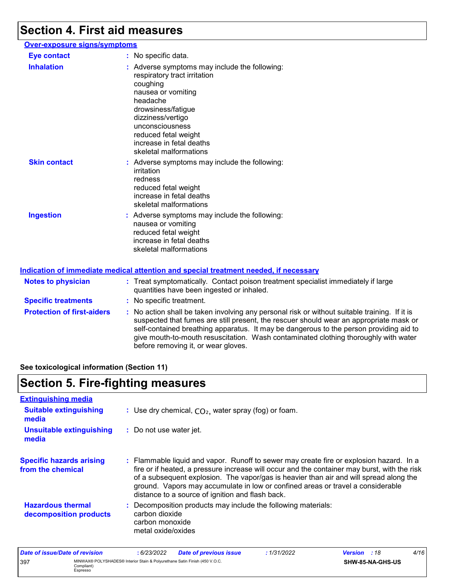# **Section 4. First aid measures**

| <b>Over-exposure signs/symptoms</b> |                                                                                                                                                                                                                                                                         |
|-------------------------------------|-------------------------------------------------------------------------------------------------------------------------------------------------------------------------------------------------------------------------------------------------------------------------|
| <b>Eye contact</b>                  | : No specific data.                                                                                                                                                                                                                                                     |
| <b>Inhalation</b>                   | : Adverse symptoms may include the following:<br>respiratory tract irritation<br>coughing<br>nausea or vomiting<br>headache<br>drowsiness/fatigue<br>dizziness/vertigo<br>unconsciousness<br>reduced fetal weight<br>increase in fetal deaths<br>skeletal malformations |
| <b>Skin contact</b>                 | : Adverse symptoms may include the following:<br>irritation<br>redness<br>reduced fetal weight<br>increase in fetal deaths<br>skeletal malformations                                                                                                                    |
| <b>Ingestion</b>                    | : Adverse symptoms may include the following:<br>nausea or vomiting<br>reduced fetal weight<br>increase in fetal deaths<br>skeletal malformations                                                                                                                       |

|                                   | Indication of immediate medical attention and special treatment needed, if necessary                                                                                                                                                                                                                                                                                                                            |
|-----------------------------------|-----------------------------------------------------------------------------------------------------------------------------------------------------------------------------------------------------------------------------------------------------------------------------------------------------------------------------------------------------------------------------------------------------------------|
| <b>Notes to physician</b>         | : Treat symptomatically. Contact poison treatment specialist immediately if large<br>quantities have been ingested or inhaled.                                                                                                                                                                                                                                                                                  |
| <b>Specific treatments</b>        | : No specific treatment.                                                                                                                                                                                                                                                                                                                                                                                        |
| <b>Protection of first-aiders</b> | : No action shall be taken involving any personal risk or without suitable training. If it is<br>suspected that fumes are still present, the rescuer should wear an appropriate mask or<br>self-contained breathing apparatus. It may be dangerous to the person providing aid to<br>give mouth-to-mouth resuscitation. Wash contaminated clothing thoroughly with water<br>before removing it, or wear gloves. |

**See toxicological information (Section 11)**

# **Section 5. Fire-fighting measures**

| <b>Extinguishing media</b>                           |                                                                                                                                                                                                                                                                                                                                                                                                                          |
|------------------------------------------------------|--------------------------------------------------------------------------------------------------------------------------------------------------------------------------------------------------------------------------------------------------------------------------------------------------------------------------------------------------------------------------------------------------------------------------|
| <b>Suitable extinguishing</b><br>media               | : Use dry chemical, $CO2$ , water spray (fog) or foam.                                                                                                                                                                                                                                                                                                                                                                   |
| <b>Unsuitable extinguishing</b><br>media             | : Do not use water jet.                                                                                                                                                                                                                                                                                                                                                                                                  |
| <b>Specific hazards arising</b><br>from the chemical | : Flammable liquid and vapor. Runoff to sewer may create fire or explosion hazard. In a<br>fire or if heated, a pressure increase will occur and the container may burst, with the risk<br>of a subsequent explosion. The vapor/gas is heavier than air and will spread along the<br>ground. Vapors may accumulate in low or confined areas or travel a considerable<br>distance to a source of ignition and flash back. |
| <b>Hazardous thermal</b><br>decomposition products   | Decomposition products may include the following materials:<br>carbon dioxide<br>carbon monoxide<br>metal oxide/oxides                                                                                                                                                                                                                                                                                                   |

| Date of issue/Date of revision |                                                                                                      | 6/23/2022 | <b>Date of previous issue</b> | 1/31/2022        | <b>Version</b> : 18 | 4/16 |
|--------------------------------|------------------------------------------------------------------------------------------------------|-----------|-------------------------------|------------------|---------------------|------|
| 397                            | MINWAX® POLYSHADES® Interior Stain & Polyurethane Satin Finish (450 V.O.C.<br>Compliant)<br>Espresso |           |                               | SHW-85-NA-GHS-US |                     |      |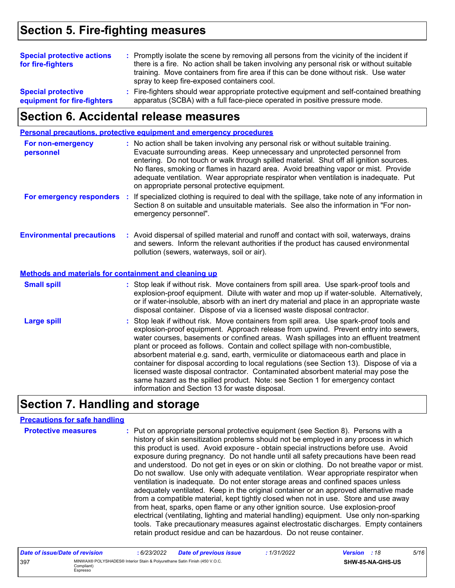### **Section 5. Fire-fighting measures**

| <b>Special protective actions</b><br>for fire-fighters   | : Promptly isolate the scene by removing all persons from the vicinity of the incident if<br>there is a fire. No action shall be taken involving any personal risk or without suitable<br>training. Move containers from fire area if this can be done without risk. Use water<br>spray to keep fire-exposed containers cool. |
|----------------------------------------------------------|-------------------------------------------------------------------------------------------------------------------------------------------------------------------------------------------------------------------------------------------------------------------------------------------------------------------------------|
| <b>Special protective</b><br>equipment for fire-fighters | : Fire-fighters should wear appropriate protective equipment and self-contained breathing<br>apparatus (SCBA) with a full face-piece operated in positive pressure mode.                                                                                                                                                      |

### **Section 6. Accidental release measures**

|                                                                                    | Personal precautions, protective equipment and emergency procedures                                                                                                                                                                                                                                                                                                                                                                                                                                                                                                                                                                                                                                                |
|------------------------------------------------------------------------------------|--------------------------------------------------------------------------------------------------------------------------------------------------------------------------------------------------------------------------------------------------------------------------------------------------------------------------------------------------------------------------------------------------------------------------------------------------------------------------------------------------------------------------------------------------------------------------------------------------------------------------------------------------------------------------------------------------------------------|
| For non-emergency<br>personnel                                                     | : No action shall be taken involving any personal risk or without suitable training.<br>Evacuate surrounding areas. Keep unnecessary and unprotected personnel from<br>entering. Do not touch or walk through spilled material. Shut off all ignition sources.<br>No flares, smoking or flames in hazard area. Avoid breathing vapor or mist. Provide<br>adequate ventilation. Wear appropriate respirator when ventilation is inadequate. Put<br>on appropriate personal protective equipment.                                                                                                                                                                                                                    |
| For emergency responders                                                           | : If specialized clothing is required to deal with the spillage, take note of any information in<br>Section 8 on suitable and unsuitable materials. See also the information in "For non-<br>emergency personnel".                                                                                                                                                                                                                                                                                                                                                                                                                                                                                                 |
| <b>Environmental precautions</b>                                                   | : Avoid dispersal of spilled material and runoff and contact with soil, waterways, drains<br>and sewers. Inform the relevant authorities if the product has caused environmental<br>pollution (sewers, waterways, soil or air).                                                                                                                                                                                                                                                                                                                                                                                                                                                                                    |
| <b>Methods and materials for containment and cleaning up</b><br><b>Small spill</b> | : Stop leak if without risk. Move containers from spill area. Use spark-proof tools and<br>explosion-proof equipment. Dilute with water and mop up if water-soluble. Alternatively,<br>or if water-insoluble, absorb with an inert dry material and place in an appropriate waste<br>disposal container. Dispose of via a licensed waste disposal contractor.                                                                                                                                                                                                                                                                                                                                                      |
| <b>Large spill</b>                                                                 | : Stop leak if without risk. Move containers from spill area. Use spark-proof tools and<br>explosion-proof equipment. Approach release from upwind. Prevent entry into sewers,<br>water courses, basements or confined areas. Wash spillages into an effluent treatment<br>plant or proceed as follows. Contain and collect spillage with non-combustible,<br>absorbent material e.g. sand, earth, vermiculite or diatomaceous earth and place in<br>container for disposal according to local regulations (see Section 13). Dispose of via a<br>licensed waste disposal contractor. Contaminated absorbent material may pose the<br>same hazard as the spilled product. Note: see Section 1 for emergency contact |

# **Section 7. Handling and storage**

### **Precautions for safe handling**

| <b>Protective measures</b> | : Put on appropriate personal protective equipment (see Section 8). Persons with a<br>history of skin sensitization problems should not be employed in any process in which<br>this product is used. Avoid exposure - obtain special instructions before use. Avoid<br>exposure during pregnancy. Do not handle until all safety precautions have been read<br>and understood. Do not get in eyes or on skin or clothing. Do not breathe vapor or mist.<br>Do not swallow. Use only with adequate ventilation. Wear appropriate respirator when<br>ventilation is inadequate. Do not enter storage areas and confined spaces unless<br>adequately ventilated. Keep in the original container or an approved alternative made<br>from a compatible material, kept tightly closed when not in use. Store and use away<br>from heat, sparks, open flame or any other ignition source. Use explosion-proof<br>electrical (ventilating, lighting and material handling) equipment. Use only non-sparking |
|----------------------------|-----------------------------------------------------------------------------------------------------------------------------------------------------------------------------------------------------------------------------------------------------------------------------------------------------------------------------------------------------------------------------------------------------------------------------------------------------------------------------------------------------------------------------------------------------------------------------------------------------------------------------------------------------------------------------------------------------------------------------------------------------------------------------------------------------------------------------------------------------------------------------------------------------------------------------------------------------------------------------------------------------|
|                            | tools. Take precautionary measures against electrostatic discharges. Empty containers<br>retain product residue and can be hazardous. Do not reuse container.                                                                                                                                                                                                                                                                                                                                                                                                                                                                                                                                                                                                                                                                                                                                                                                                                                       |

information and Section 13 for waste disposal.

| Date of issue/Date of revision |                                                                                                      | : 6/23/2022 | <b>Date of previous issue</b> | : 1/31/2022 | <b>Version</b> : 18 |                  | 5/16 |
|--------------------------------|------------------------------------------------------------------------------------------------------|-------------|-------------------------------|-------------|---------------------|------------------|------|
| 397                            | MINWAX® POLYSHADES® Interior Stain & Polyurethane Satin Finish (450 V.O.C.<br>Compliant)<br>Espresso |             |                               |             |                     | SHW-85-NA-GHS-US |      |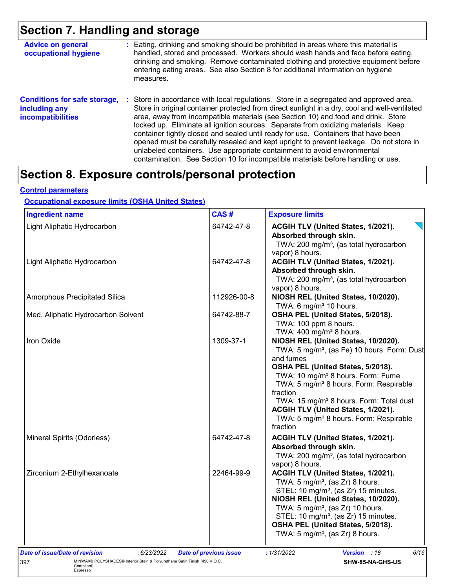# **Section 7. Handling and storage**

| <b>Advice on general</b><br>occupational hygiene                                 | : Eating, drinking and smoking should be prohibited in areas where this material is<br>handled, stored and processed. Workers should wash hands and face before eating,<br>drinking and smoking. Remove contaminated clothing and protective equipment before<br>entering eating areas. See also Section 8 for additional information on hygiene<br>measures.                                                                                                                                                                                                                                                                                                                                                          |
|----------------------------------------------------------------------------------|------------------------------------------------------------------------------------------------------------------------------------------------------------------------------------------------------------------------------------------------------------------------------------------------------------------------------------------------------------------------------------------------------------------------------------------------------------------------------------------------------------------------------------------------------------------------------------------------------------------------------------------------------------------------------------------------------------------------|
| <b>Conditions for safe storage,</b><br>including any<br><b>incompatibilities</b> | Store in accordance with local regulations. Store in a segregated and approved area.<br>÷.<br>Store in original container protected from direct sunlight in a dry, cool and well-ventilated<br>area, away from incompatible materials (see Section 10) and food and drink. Store<br>locked up. Eliminate all ignition sources. Separate from oxidizing materials. Keep<br>container tightly closed and sealed until ready for use. Containers that have been<br>opened must be carefully resealed and kept upright to prevent leakage. Do not store in<br>unlabeled containers. Use appropriate containment to avoid environmental<br>contamination. See Section 10 for incompatible materials before handling or use. |

### **Section 8. Exposure controls/personal protection**

#### **Control parameters**

### **Occupational exposure limits (OSHA United States)**

| <b>Ingredient name</b>                                                                                      | CAS#                          | <b>Exposure limits</b>                                                                                                                                                                                                                                                                                                                                                                                                             |
|-------------------------------------------------------------------------------------------------------------|-------------------------------|------------------------------------------------------------------------------------------------------------------------------------------------------------------------------------------------------------------------------------------------------------------------------------------------------------------------------------------------------------------------------------------------------------------------------------|
| Light Aliphatic Hydrocarbon                                                                                 | 64742-47-8                    | ACGIH TLV (United States, 1/2021).<br>Absorbed through skin.<br>TWA: 200 mg/m <sup>3</sup> , (as total hydrocarbon<br>vapor) 8 hours.                                                                                                                                                                                                                                                                                              |
| Light Aliphatic Hydrocarbon                                                                                 | 64742-47-8                    | ACGIH TLV (United States, 1/2021).<br>Absorbed through skin.<br>TWA: 200 mg/m <sup>3</sup> , (as total hydrocarbon<br>vapor) 8 hours.                                                                                                                                                                                                                                                                                              |
| Amorphous Precipitated Silica                                                                               | 112926-00-8                   | NIOSH REL (United States, 10/2020).<br>TWA: 6 mg/m <sup>3</sup> 10 hours.                                                                                                                                                                                                                                                                                                                                                          |
| Med. Aliphatic Hydrocarbon Solvent                                                                          | 64742-88-7                    | OSHA PEL (United States, 5/2018).<br>TWA: 100 ppm 8 hours.<br>TWA: $400 \text{ mg/m}^3$ 8 hours.                                                                                                                                                                                                                                                                                                                                   |
| Iron Oxide                                                                                                  | 1309-37-1                     | NIOSH REL (United States, 10/2020).<br>TWA: 5 mg/m <sup>3</sup> , (as Fe) 10 hours. Form: Dust<br>and fumes<br>OSHA PEL (United States, 5/2018).<br>TWA: 10 mg/m <sup>3</sup> 8 hours. Form: Fume<br>TWA: 5 mg/m <sup>3</sup> 8 hours. Form: Respirable<br>fraction<br>TWA: 15 mg/m <sup>3</sup> 8 hours. Form: Total dust<br>ACGIH TLV (United States, 1/2021).<br>TWA: 5 mg/m <sup>3</sup> 8 hours. Form: Respirable<br>fraction |
| Mineral Spirits (Odorless)                                                                                  | 64742-47-8                    | ACGIH TLV (United States, 1/2021).<br>Absorbed through skin.<br>TWA: 200 mg/m <sup>3</sup> , (as total hydrocarbon<br>vapor) 8 hours.                                                                                                                                                                                                                                                                                              |
| Zirconium 2-Ethylhexanoate                                                                                  | 22464-99-9                    | ACGIH TLV (United States, 1/2021).<br>TWA: $5 \text{ mg/m}^3$ , (as Zr) 8 hours.<br>STEL: 10 mg/m <sup>3</sup> , (as Zr) 15 minutes.<br>NIOSH REL (United States, 10/2020).<br>TWA: $5 \text{ mg/m}^3$ , (as Zr) 10 hours.<br>STEL: 10 mg/m <sup>3</sup> , (as Zr) 15 minutes.<br>OSHA PEL (United States, 5/2018).<br>TWA: $5 \text{ mg/m}^3$ , (as Zr) 8 hours.                                                                  |
| Date of issue/Date of revision<br>: 6/23/2022                                                               | <b>Date of previous issue</b> | : 1/31/2022<br>6/16<br><b>Version</b> : 18                                                                                                                                                                                                                                                                                                                                                                                         |
| MINWAX® POLYSHADES® Interior Stain & Polyurethane Satin Finish (450 V.O.C.<br>397<br>Compliant)<br>Espresso |                               | SHW-85-NA-GHS-US                                                                                                                                                                                                                                                                                                                                                                                                                   |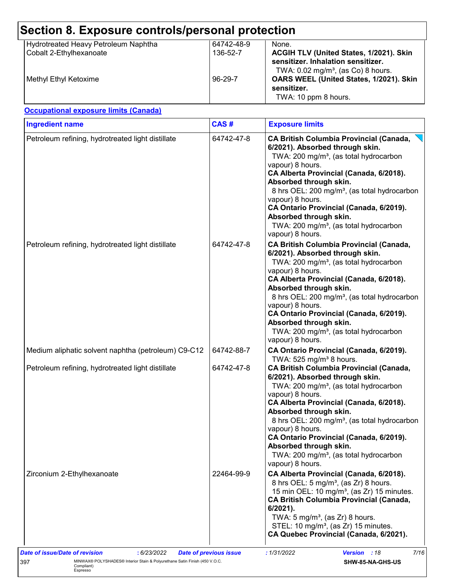| Hydrotreated Heavy Petroleum Naphtha<br>Cobalt 2-Ethylhexanoate<br>Methyl Ethyl Ketoxime | 64742-48-9<br>136-52-7<br>96-29-7 | None.<br>ACGIH TLV (United States, 1/2021). Skin<br>sensitizer. Inhalation sensitizer.<br>TWA: 0.02 mg/m <sup>3</sup> , (as Co) 8 hours.                                                                                                                                                                                                                                                                                                                                                               |  |
|------------------------------------------------------------------------------------------|-----------------------------------|--------------------------------------------------------------------------------------------------------------------------------------------------------------------------------------------------------------------------------------------------------------------------------------------------------------------------------------------------------------------------------------------------------------------------------------------------------------------------------------------------------|--|
|                                                                                          |                                   | OARS WEEL (United States, 1/2021). Skin<br>sensitizer.<br>TWA: 10 ppm 8 hours.                                                                                                                                                                                                                                                                                                                                                                                                                         |  |
| <b>Occupational exposure limits (Canada)</b>                                             |                                   |                                                                                                                                                                                                                                                                                                                                                                                                                                                                                                        |  |
| <b>Ingredient name</b>                                                                   | CAS#                              | <b>Exposure limits</b>                                                                                                                                                                                                                                                                                                                                                                                                                                                                                 |  |
| Petroleum refining, hydrotreated light distillate                                        | 64742-47-8                        | <b>CA British Columbia Provincial (Canada,</b><br>6/2021). Absorbed through skin.<br>TWA: 200 mg/m <sup>3</sup> , (as total hydrocarbon<br>vapour) 8 hours.<br>CA Alberta Provincial (Canada, 6/2018).<br>Absorbed through skin.<br>8 hrs OEL: 200 mg/m <sup>3</sup> , (as total hydrocarbon<br>vapour) 8 hours.<br>CA Ontario Provincial (Canada, 6/2019).<br>Absorbed through skin.<br>TWA: 200 mg/m <sup>3</sup> , (as total hydrocarbon<br>vapour) 8 hours.                                        |  |
| Petroleum refining, hydrotreated light distillate                                        | 64742-47-8                        | <b>CA British Columbia Provincial (Canada,</b><br>6/2021). Absorbed through skin.<br>TWA: 200 mg/m <sup>3</sup> , (as total hydrocarbon<br>vapour) 8 hours.<br>CA Alberta Provincial (Canada, 6/2018).<br>Absorbed through skin.<br>8 hrs OEL: 200 mg/m <sup>3</sup> , (as total hydrocarbon<br>vapour) 8 hours.<br>CA Ontario Provincial (Canada, 6/2019).<br>Absorbed through skin.<br>TWA: 200 mg/m <sup>3</sup> , (as total hydrocarbon<br>vapour) 8 hours.                                        |  |
| Medium aliphatic solvent naphtha (petroleum) C9-C12                                      | 64742-88-7                        | CA Ontario Provincial (Canada, 6/2019).                                                                                                                                                                                                                                                                                                                                                                                                                                                                |  |
| Petroleum refining, hydrotreated light distillate                                        | 64742-47-8                        | TWA: 525 mg/m <sup>3</sup> 8 hours.<br><b>CA British Columbia Provincial (Canada,</b><br>6/2021). Absorbed through skin.<br>TWA: 200 mg/m <sup>3</sup> , (as total hydrocarbon<br>vapour) 8 hours.<br>CA Alberta Provincial (Canada, 6/2018).<br>Absorbed through skin.<br>8 hrs OEL: 200 mg/m <sup>3</sup> , (as total hydrocarbon<br>vapour) 8 hours.<br>CA Ontario Provincial (Canada, 6/2019).<br>Absorbed through skin.<br>TWA: 200 mg/m <sup>3</sup> , (as total hydrocarbon<br>vapour) 8 hours. |  |
| Zirconium 2-Ethylhexanoate                                                               | 22464-99-9                        | CA Alberta Provincial (Canada, 6/2018).<br>8 hrs OEL: 5 mg/m <sup>3</sup> , (as Zr) 8 hours.<br>15 min OEL: 10 mg/m <sup>3</sup> , (as Zr) 15 minutes.<br><b>CA British Columbia Provincial (Canada,</b><br>6/2021).<br>TWA: $5 \text{ mg/m}^3$ , (as Zr) 8 hours.<br>STEL: 10 mg/m <sup>3</sup> , (as Zr) 15 minutes.<br>CA Quebec Provincial (Canada, 6/2021).                                                                                                                                       |  |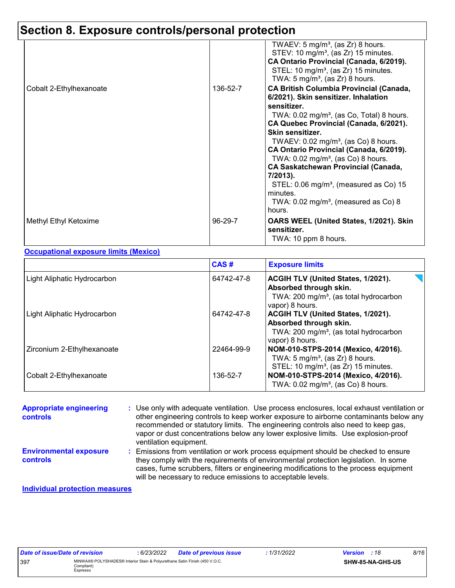## **Section 8. Exposure controls/personal protection**

|                         |          | TWAEV: $5 \text{ mg/m}^3$ , (as Zr) 8 hours.<br>STEV: 10 mg/m <sup>3</sup> , (as Zr) 15 minutes.<br>CA Ontario Provincial (Canada, 6/2019).<br>STEL: 10 mg/m <sup>3</sup> , (as Zr) 15 minutes.<br>TWA: $5 \text{ mg/m}^3$ , (as Zr) 8 hours.                                                                                                                                                                                                                                                                                                                     |
|-------------------------|----------|-------------------------------------------------------------------------------------------------------------------------------------------------------------------------------------------------------------------------------------------------------------------------------------------------------------------------------------------------------------------------------------------------------------------------------------------------------------------------------------------------------------------------------------------------------------------|
| Cobalt 2-Ethylhexanoate | 136-52-7 | <b>CA British Columbia Provincial (Canada,</b><br>6/2021). Skin sensitizer. Inhalation<br>sensitizer.<br>TWA: $0.02 \text{ mg/m}^3$ , (as Co, Total) 8 hours.<br>CA Quebec Provincial (Canada, 6/2021).<br>Skin sensitizer.<br>TWAEV: $0.02$ mg/m <sup>3</sup> , (as Co) 8 hours.<br>CA Ontario Provincial (Canada, 6/2019).<br>TWA: $0.02$ mg/m <sup>3</sup> , (as Co) 8 hours.<br>CA Saskatchewan Provincial (Canada,<br>7/2013).<br>STEL: $0.06 \text{ mg/m}^3$ , (measured as Co) 15<br>minutes.<br>TWA: $0.02 \text{ mg/m}^3$ , (measured as Co) 8<br>hours. |
| Methyl Ethyl Ketoxime   | 96-29-7  | OARS WEEL (United States, 1/2021). Skin<br>sensitizer.<br>TWA: 10 ppm 8 hours.                                                                                                                                                                                                                                                                                                                                                                                                                                                                                    |

#### **Occupational exposure limits (Mexico)**

|                             | CAS#       | <b>Exposure limits</b>                                                                                                                       |
|-----------------------------|------------|----------------------------------------------------------------------------------------------------------------------------------------------|
| Light Aliphatic Hydrocarbon | 64742-47-8 | <b>ACGIH TLV (United States, 1/2021).</b><br>Absorbed through skin.<br>TWA: 200 mg/m <sup>3</sup> , (as total hydrocarbon<br>vapor) 8 hours. |
| Light Aliphatic Hydrocarbon | 64742-47-8 | <b>ACGIH TLV (United States, 1/2021).</b><br>Absorbed through skin.<br>TWA: 200 mg/m <sup>3</sup> , (as total hydrocarbon<br>vapor) 8 hours. |
| Zirconium 2-Ethylhexanoate  | 22464-99-9 | NOM-010-STPS-2014 (Mexico, 4/2016).<br>TWA: $5 \text{ mg/m}^3$ , (as Zr) 8 hours.<br>STEL: 10 mg/m <sup>3</sup> , (as Zr) 15 minutes.        |
| Cobalt 2-Ethylhexanoate     | 136-52-7   | NOM-010-STPS-2014 (Mexico, 4/2016).<br>TWA: $0.02$ mg/m <sup>3</sup> , (as Co) 8 hours.                                                      |

| <b>Appropriate engineering</b><br><b>controls</b> | : Use only with adequate ventilation. Use process enclosures, local exhaust ventilation or<br>other engineering controls to keep worker exposure to airborne contaminants below any<br>recommended or statutory limits. The engineering controls also need to keep gas,<br>vapor or dust concentrations below any lower explosive limits. Use explosion-proof<br>ventilation equipment. |
|---------------------------------------------------|-----------------------------------------------------------------------------------------------------------------------------------------------------------------------------------------------------------------------------------------------------------------------------------------------------------------------------------------------------------------------------------------|
| <b>Environmental exposure</b><br><b>controls</b>  | : Emissions from ventilation or work process equipment should be checked to ensure<br>they comply with the requirements of environmental protection legislation. In some<br>cases, fume scrubbers, filters or engineering modifications to the process equipment<br>will be necessary to reduce emissions to acceptable levels.                                                         |

#### **Individual protection measures**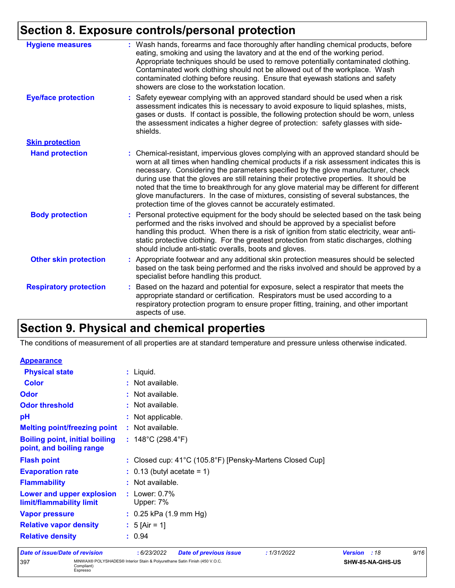### **Section 8. Exposure controls/personal protection**

| <b>Hygiene measures</b>       | : Wash hands, forearms and face thoroughly after handling chemical products, before<br>eating, smoking and using the lavatory and at the end of the working period.<br>Appropriate techniques should be used to remove potentially contaminated clothing.<br>Contaminated work clothing should not be allowed out of the workplace. Wash<br>contaminated clothing before reusing. Ensure that eyewash stations and safety<br>showers are close to the workstation location.                                                                                                                                            |
|-------------------------------|------------------------------------------------------------------------------------------------------------------------------------------------------------------------------------------------------------------------------------------------------------------------------------------------------------------------------------------------------------------------------------------------------------------------------------------------------------------------------------------------------------------------------------------------------------------------------------------------------------------------|
| <b>Eye/face protection</b>    | : Safety eyewear complying with an approved standard should be used when a risk<br>assessment indicates this is necessary to avoid exposure to liquid splashes, mists,<br>gases or dusts. If contact is possible, the following protection should be worn, unless<br>the assessment indicates a higher degree of protection: safety glasses with side-<br>shields.                                                                                                                                                                                                                                                     |
| <b>Skin protection</b>        |                                                                                                                                                                                                                                                                                                                                                                                                                                                                                                                                                                                                                        |
| <b>Hand protection</b>        | : Chemical-resistant, impervious gloves complying with an approved standard should be<br>worn at all times when handling chemical products if a risk assessment indicates this is<br>necessary. Considering the parameters specified by the glove manufacturer, check<br>during use that the gloves are still retaining their protective properties. It should be<br>noted that the time to breakthrough for any glove material may be different for different<br>glove manufacturers. In the case of mixtures, consisting of several substances, the<br>protection time of the gloves cannot be accurately estimated. |
| <b>Body protection</b>        | : Personal protective equipment for the body should be selected based on the task being<br>performed and the risks involved and should be approved by a specialist before<br>handling this product. When there is a risk of ignition from static electricity, wear anti-<br>static protective clothing. For the greatest protection from static discharges, clothing<br>should include anti-static overalls, boots and gloves.                                                                                                                                                                                         |
| <b>Other skin protection</b>  | : Appropriate footwear and any additional skin protection measures should be selected<br>based on the task being performed and the risks involved and should be approved by a<br>specialist before handling this product.                                                                                                                                                                                                                                                                                                                                                                                              |
| <b>Respiratory protection</b> | : Based on the hazard and potential for exposure, select a respirator that meets the<br>appropriate standard or certification. Respirators must be used according to a<br>respiratory protection program to ensure proper fitting, training, and other important<br>aspects of use.                                                                                                                                                                                                                                                                                                                                    |

### **Section 9. Physical and chemical properties**

The conditions of measurement of all properties are at standard temperature and pressure unless otherwise indicated.

| <b>Appearance</b>                     |                                                          |
|---------------------------------------|----------------------------------------------------------|
| <b>Physical state</b>                 | $:$ Liquid.                                              |
| <b>Color</b>                          | : Not available.                                         |
| <b>Odor</b>                           | : Not available.                                         |
| <b>Odor threshold</b>                 | : Not available.                                         |
| pH                                    | : Not applicable.                                        |
| <b>Melting point/freezing point</b>   | : Not available.                                         |
| <b>Boiling point, initial boiling</b> | : $148^{\circ}$ C (298.4 $^{\circ}$ F)                   |
| point, and boiling range              |                                                          |
| <b>Flash point</b>                    | : Closed cup: 41°C (105.8°F) [Pensky-Martens Closed Cup] |
| <b>Evaporation rate</b>               | $\therefore$ 0.13 (butyl acetate = 1)                    |
| <b>Flammability</b>                   | : Not available.                                         |
| Lower and upper explosion             | : Lower: $0.7\%$                                         |
| limit/flammability limit              | Upper: 7%                                                |
| <b>Vapor pressure</b>                 | $: 0.25$ kPa (1.9 mm Hg)                                 |
| <b>Relative vapor density</b>         | : $5$ [Air = 1]                                          |
| <b>Relative density</b>               | : 0.94                                                   |
|                                       |                                                          |

#### *Date of issue/Date of revision* **:** *6/23/2022 Date of previous issue : 1/31/2022 Version : 18 9/16* 397 MINWAX® POLYSHADES® Interior Stain & Polyurethane Satin Finish (450 V.O.C. Compliant) Espresso **SHW-85-NA-GHS-US**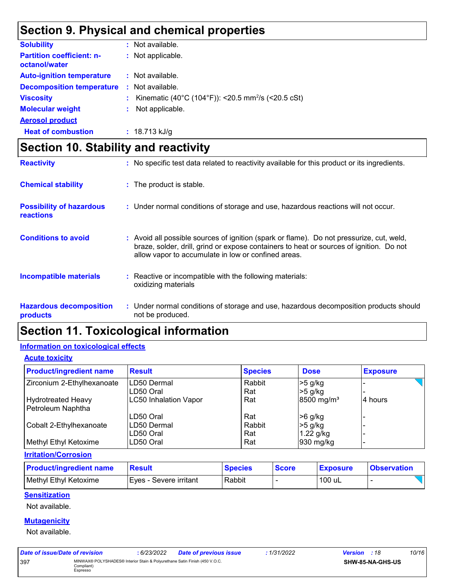# **Section 9. Physical and chemical properties**

| <b>Solubility</b>                                 | : Not available.                                                 |
|---------------------------------------------------|------------------------------------------------------------------|
| <b>Partition coefficient: n-</b><br>octanol/water | : Not applicable.                                                |
| <b>Auto-ignition temperature</b>                  | : Not available.                                                 |
| <b>Decomposition temperature</b>                  | : Not available.                                                 |
| <b>Viscosity</b>                                  | : Kinematic (40°C (104°F)): <20.5 mm <sup>2</sup> /s (<20.5 cSt) |
| <b>Molecular weight</b>                           | Not applicable.                                                  |
| <b>Aerosol product</b>                            |                                                                  |
| <b>Heat of combustion</b>                         | $: 18.713$ kJ/g                                                  |

# **Section 10. Stability and reactivity**

| <b>Reactivity</b>                                   | : No specific test data related to reactivity available for this product or its ingredients.                                                                                                                                             |
|-----------------------------------------------------|------------------------------------------------------------------------------------------------------------------------------------------------------------------------------------------------------------------------------------------|
| <b>Chemical stability</b>                           | : The product is stable.                                                                                                                                                                                                                 |
| <b>Possibility of hazardous</b><br><b>reactions</b> | : Under normal conditions of storage and use, hazardous reactions will not occur.                                                                                                                                                        |
| <b>Conditions to avoid</b>                          | Avoid all possible sources of ignition (spark or flame). Do not pressurize, cut, weld,<br>braze, solder, drill, grind or expose containers to heat or sources of ignition. Do not<br>allow vapor to accumulate in low or confined areas. |
| <b>Incompatible materials</b>                       | Reactive or incompatible with the following materials:<br>oxidizing materials                                                                                                                                                            |
| <b>Hazardous decomposition</b><br>products          | : Under normal conditions of storage and use, hazardous decomposition products should<br>not be produced.                                                                                                                                |

### **Section 11. Toxicological information**

### **Information on toxicological effects**

**Acute toxicity**

| <b>Product/ingredient name</b> | <b>Result</b>                | <b>Species</b> | <b>Dose</b>            | <b>Exposure</b> |
|--------------------------------|------------------------------|----------------|------------------------|-----------------|
| Zirconium 2-Ethylhexanoate     | ILD50 Dermal                 | Rabbit         | >5 g/kg                |                 |
|                                | LD50 Oral                    | Rat            | $>5$ g/kg              |                 |
| <b>Hydrotreated Heavy</b>      | <b>LC50 Inhalation Vapor</b> | Rat            | 8500 mg/m <sup>3</sup> | 4 hours         |
| Petroleum Naphtha              |                              |                |                        |                 |
|                                | LD50 Oral                    | Rat            | >6 g/kg                |                 |
| Cobalt 2-Ethylhexanoate        | ILD50 Dermal                 | Rabbit         | $>5$ g/kg              |                 |
|                                | LD50 Oral                    | Rat            | $1.22$ g/kg            |                 |
| Methyl Ethyl Ketoxime          | LD50 Oral                    | Rat            | 930 mg/kg              |                 |

#### **Irritation/Corrosion**

| <b>Product/ingredient name</b> | <b>Result</b>           | <b>Species</b> | <b>Score</b> | <b>Exposure</b> | <b>Observation</b> |
|--------------------------------|-------------------------|----------------|--------------|-----------------|--------------------|
| Methyl Ethyl Ketoxime          | IEves - Severe irritant | Rabbit         |              | 100 uL          |                    |

### **Sensitization**

Not available.

#### **Mutagenicity**

Not available.

| Date of issue/Date of revision |                                                                                                      | : 6/23/2022 | <b>Date of previous issue</b> | :1/31/2022 | <b>Version</b> : 18 |                         | 10/16 |
|--------------------------------|------------------------------------------------------------------------------------------------------|-------------|-------------------------------|------------|---------------------|-------------------------|-------|
| 397                            | MINWAX® POLYSHADES® Interior Stain & Polyurethane Satin Finish (450 V.O.C.<br>Compliant)<br>Espresso |             |                               |            |                     | <b>SHW-85-NA-GHS-US</b> |       |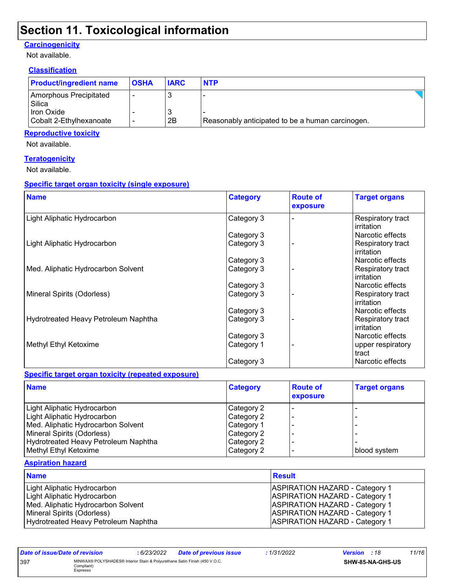### **Section 11. Toxicological information**

### **Carcinogenicity**

Not available.

### **Classification**

| <b>Product/ingredient name</b>               | <b>OSHA</b> | <b>IARC</b> | <b>NTP</b>                                       |  |
|----------------------------------------------|-------------|-------------|--------------------------------------------------|--|
| Amorphous Precipitated<br>Silica             |             |             |                                                  |  |
| <b>Iron Oxide</b><br>Cobalt 2-Ethylhexanoate |             | 2B          | Reasonably anticipated to be a human carcinogen. |  |

### **Reproductive toxicity**

Not available.

### **Teratogenicity**

Not available.

### **Specific target organ toxicity (single exposure)**

| <b>Name</b>                          | <b>Category</b> | <b>Route of</b><br>exposure | <b>Target organs</b>                   |
|--------------------------------------|-----------------|-----------------------------|----------------------------------------|
| Light Aliphatic Hydrocarbon          | Category 3      |                             | Respiratory tract<br><b>irritation</b> |
|                                      | Category 3      |                             | Narcotic effects                       |
| Light Aliphatic Hydrocarbon          | Category 3      |                             | Respiratory tract<br><b>irritation</b> |
|                                      | Category 3      |                             | Narcotic effects                       |
| Med. Aliphatic Hydrocarbon Solvent   | Category 3      |                             | Respiratory tract<br>irritation        |
|                                      | Category 3      |                             | Narcotic effects                       |
| Mineral Spirits (Odorless)           | Category 3      |                             | Respiratory tract<br>l irritation      |
|                                      | Category 3      |                             | Narcotic effects                       |
| Hydrotreated Heavy Petroleum Naphtha | Category 3      |                             | Respiratory tract<br>l irritation      |
|                                      | Category 3      |                             | Narcotic effects                       |
| Methyl Ethyl Ketoxime                | Category 1      |                             | upper respiratory<br>tract             |
|                                      | Category 3      |                             | Narcotic effects                       |

#### **Specific target organ toxicity (repeated exposure)**

| <b>Name</b>                          | <b>Category</b> | <b>Route of</b><br>exposure | <b>Target organs</b> |
|--------------------------------------|-----------------|-----------------------------|----------------------|
| Light Aliphatic Hydrocarbon          | Category 2      |                             |                      |
| Light Aliphatic Hydrocarbon          | Category 2      |                             |                      |
| Med. Aliphatic Hydrocarbon Solvent   | Category 1      |                             |                      |
| Mineral Spirits (Odorless)           | Category 2      |                             |                      |
| Hydrotreated Heavy Petroleum Naphtha | Category 2      |                             |                      |
| Methyl Ethyl Ketoxime                | Category 2      |                             | blood system         |

#### **Aspiration hazard**

| <b>Name</b>                          | <b>Result</b>                         |
|--------------------------------------|---------------------------------------|
| Light Aliphatic Hydrocarbon          | <b>ASPIRATION HAZARD - Category 1</b> |
| Light Aliphatic Hydrocarbon          | <b>ASPIRATION HAZARD - Category 1</b> |
| Med. Aliphatic Hydrocarbon Solvent   | <b>ASPIRATION HAZARD - Category 1</b> |
| Mineral Spirits (Odorless)           | <b>ASPIRATION HAZARD - Category 1</b> |
| Hydrotreated Heavy Petroleum Naphtha | <b>ASPIRATION HAZARD - Category 1</b> |

| Date of issue/Date of revision |                                                                                                      | : 6/23/2022 | Date of previous issue | : 1/31/2022      | <b>Version</b> : 18 | 11/16 |
|--------------------------------|------------------------------------------------------------------------------------------------------|-------------|------------------------|------------------|---------------------|-------|
| 397                            | MINWAX® POLYSHADES® Interior Stain & Polyurethane Satin Finish (450 V.O.C.<br>Compliant)<br>Espresso |             |                        | SHW-85-NA-GHS-US |                     |       |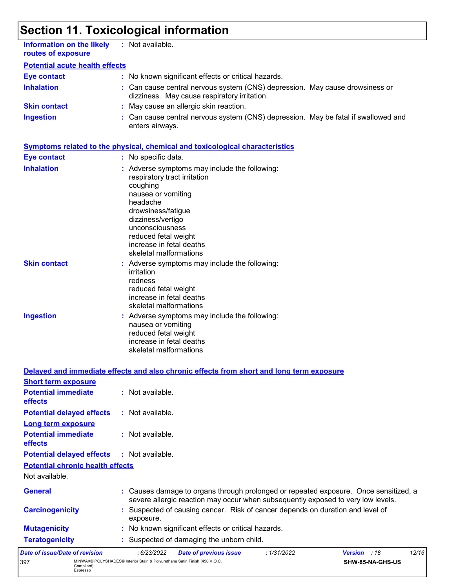# **Section 11. Toxicological information**

397 MINWAX® POLYSHADES® Interior Stain & Polyurethane Satin Finish (450 V.O.C. Compliant) Espresso

| <b>Information on the likely</b><br>routes of exposure             | : Not available.                                                                                                                                                                                                                                                        |
|--------------------------------------------------------------------|-------------------------------------------------------------------------------------------------------------------------------------------------------------------------------------------------------------------------------------------------------------------------|
| <b>Potential acute health effects</b>                              |                                                                                                                                                                                                                                                                         |
| <b>Eye contact</b>                                                 | : No known significant effects or critical hazards.                                                                                                                                                                                                                     |
| <b>Inhalation</b>                                                  | Can cause central nervous system (CNS) depression. May cause drowsiness or<br>dizziness. May cause respiratory irritation.                                                                                                                                              |
| <b>Skin contact</b>                                                | : May cause an allergic skin reaction.                                                                                                                                                                                                                                  |
| <b>Ingestion</b>                                                   | Can cause central nervous system (CNS) depression. May be fatal if swallowed and<br>enters airways.                                                                                                                                                                     |
|                                                                    | <b>Symptoms related to the physical, chemical and toxicological characteristics</b>                                                                                                                                                                                     |
| <b>Eye contact</b>                                                 | : No specific data.                                                                                                                                                                                                                                                     |
| <b>Inhalation</b>                                                  | : Adverse symptoms may include the following:<br>respiratory tract irritation<br>coughing<br>nausea or vomiting<br>headache<br>drowsiness/fatigue<br>dizziness/vertigo<br>unconsciousness<br>reduced fetal weight<br>increase in fetal deaths<br>skeletal malformations |
| <b>Skin contact</b>                                                | Adverse symptoms may include the following:<br>irritation<br>redness<br>reduced fetal weight<br>increase in fetal deaths<br>skeletal malformations                                                                                                                      |
| <b>Ingestion</b>                                                   | : Adverse symptoms may include the following:<br>nausea or vomiting<br>reduced fetal weight<br>increase in fetal deaths<br>skeletal malformations                                                                                                                       |
|                                                                    | Delayed and immediate effects and also chronic effects from short and long term exposure                                                                                                                                                                                |
| <b>Short term exposure</b><br><b>Potential immediate</b>           | : Not available.                                                                                                                                                                                                                                                        |
| effects                                                            |                                                                                                                                                                                                                                                                         |
| <b>Potential delayed effects</b>                                   | : Not available.                                                                                                                                                                                                                                                        |
| <b>Long term exposure</b><br><b>Potential immediate</b><br>effects | : Not available.                                                                                                                                                                                                                                                        |
| <b>Potential delayed effects</b>                                   | : Not available.                                                                                                                                                                                                                                                        |
| <b>Potential chronic health effects</b>                            |                                                                                                                                                                                                                                                                         |
| Not available.                                                     |                                                                                                                                                                                                                                                                         |
| <b>General</b>                                                     | Causes damage to organs through prolonged or repeated exposure. Once sensitized, a<br>severe allergic reaction may occur when subsequently exposed to very low levels.                                                                                                  |
| <b>Carcinogenicity</b>                                             | Suspected of causing cancer. Risk of cancer depends on duration and level of<br>exposure.                                                                                                                                                                               |
| <b>Mutagenicity</b>                                                | No known significant effects or critical hazards.                                                                                                                                                                                                                       |
| <b>Teratogenicity</b>                                              | Suspected of damaging the unborn child.                                                                                                                                                                                                                                 |
| Date of issue/Date of revision                                     | 12/16<br>: 6/23/2022<br>: 1/31/2022<br>Version : 18<br><b>Date of previous issue</b>                                                                                                                                                                                    |

**SHW-85-NA-GHS-US**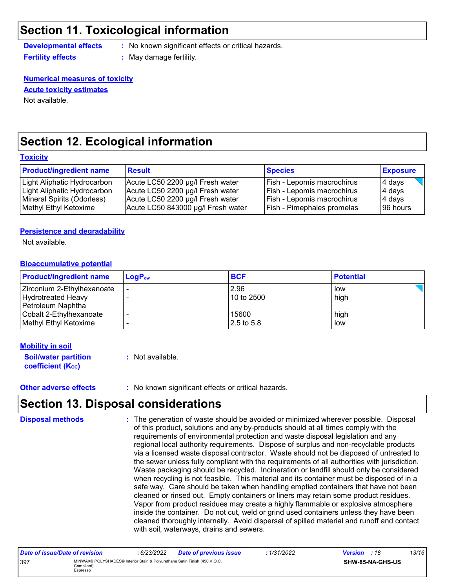### **Section 11. Toxicological information**

**Developmental effects :** No known significant effects or critical hazards.

**Fertility effects :** May damage fertility.

### **Numerical measures of toxicity**

**Acute toxicity estimates**

Not available.

### **Section 12. Ecological information**

#### **Toxicity**

| <b>Product/ingredient name</b> | <b>Result</b>                      | <b>Species</b>                    | <b>Exposure</b> |
|--------------------------------|------------------------------------|-----------------------------------|-----------------|
| Light Aliphatic Hydrocarbon    | Acute LC50 2200 µg/l Fresh water   | Fish - Lepomis macrochirus        | 4 days          |
| Light Aliphatic Hydrocarbon    | Acute LC50 2200 µg/l Fresh water   | Fish - Lepomis macrochirus        | 4 days          |
| Mineral Spirits (Odorless)     | Acute LC50 2200 µg/l Fresh water   | Fish - Lepomis macrochirus        | 4 days          |
| Methyl Ethyl Ketoxime          | Acute LC50 843000 µg/l Fresh water | <b>Fish - Pimephales promelas</b> | 196 hours       |

#### **Persistence and degradability**

Not available.

#### **Bioaccumulative potential**

| <b>Product/ingredient name</b>                                        | $LoaPow$ | <b>BCF</b>          | <b>Potential</b> |
|-----------------------------------------------------------------------|----------|---------------------|------------------|
| Zirconium 2-Ethylhexanoate<br>Hydrotreated Heavy                      |          | 2.96<br>10 to 2500  | low<br>high      |
| Petroleum Naphtha<br>Cobalt 2-Ethylhexanoate<br>Methyl Ethyl Ketoxime |          | 15600<br>2.5 to 5.8 | high<br>low      |

#### **Mobility in soil**

| <b>Soil/water partition</b> | : Not available. |
|-----------------------------|------------------|
| <b>coefficient (Koc)</b>    |                  |

**Other adverse effects** : No known significant effects or critical hazards.

### **Section 13. Disposal considerations**

**Disposal methods :**

The generation of waste should be avoided or minimized wherever possible. Disposal of this product, solutions and any by-products should at all times comply with the requirements of environmental protection and waste disposal legislation and any regional local authority requirements. Dispose of surplus and non-recyclable products via a licensed waste disposal contractor. Waste should not be disposed of untreated to the sewer unless fully compliant with the requirements of all authorities with jurisdiction. Waste packaging should be recycled. Incineration or landfill should only be considered when recycling is not feasible. This material and its container must be disposed of in a safe way. Care should be taken when handling emptied containers that have not been cleaned or rinsed out. Empty containers or liners may retain some product residues. Vapor from product residues may create a highly flammable or explosive atmosphere inside the container. Do not cut, weld or grind used containers unless they have been cleaned thoroughly internally. Avoid dispersal of spilled material and runoff and contact with soil, waterways, drains and sewers.

| Date of issue/Date of revision |                                                                                                      | : 6/23/2022 | <b>Date of previous issue</b> | 1/31/2022 | <b>Version</b> : 18 |                  | 13/16 |
|--------------------------------|------------------------------------------------------------------------------------------------------|-------------|-------------------------------|-----------|---------------------|------------------|-------|
| 397                            | MINWAX® POLYSHADES® Interior Stain & Polyurethane Satin Finish (450 V.O.C.<br>Compliant)<br>Espresso |             |                               |           |                     | SHW-85-NA-GHS-US |       |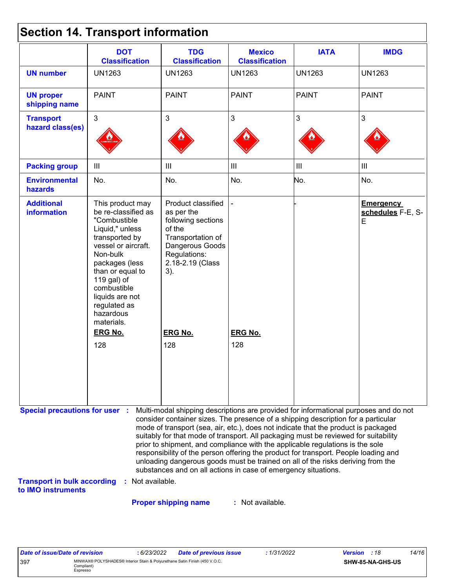|  |  | <b>Section 14. Transport information</b> |  |
|--|--|------------------------------------------|--|
|--|--|------------------------------------------|--|

|                                                                                                   | <b>DOT</b><br><b>Classification</b>                                                                                                                                                                                                                               | <b>TDG</b><br><b>Classification</b>                                                                                                                                                                                                                                                                                                                                                                                                                                                                                                                                                                                                                                                 | <b>Mexico</b><br><b>Classification</b> | <b>IATA</b>    | <b>IMDG</b>                                |
|---------------------------------------------------------------------------------------------------|-------------------------------------------------------------------------------------------------------------------------------------------------------------------------------------------------------------------------------------------------------------------|-------------------------------------------------------------------------------------------------------------------------------------------------------------------------------------------------------------------------------------------------------------------------------------------------------------------------------------------------------------------------------------------------------------------------------------------------------------------------------------------------------------------------------------------------------------------------------------------------------------------------------------------------------------------------------------|----------------------------------------|----------------|--------------------------------------------|
| <b>UN number</b>                                                                                  | <b>UN1263</b>                                                                                                                                                                                                                                                     | <b>UN1263</b>                                                                                                                                                                                                                                                                                                                                                                                                                                                                                                                                                                                                                                                                       | <b>UN1263</b>                          | <b>UN1263</b>  | <b>UN1263</b>                              |
| <b>UN proper</b><br>shipping name                                                                 | <b>PAINT</b>                                                                                                                                                                                                                                                      | <b>PAINT</b>                                                                                                                                                                                                                                                                                                                                                                                                                                                                                                                                                                                                                                                                        | <b>PAINT</b>                           | <b>PAINT</b>   | <b>PAINT</b>                               |
| <b>Transport</b><br>hazard class(es)                                                              | $\overline{3}$                                                                                                                                                                                                                                                    | $\mathbf{3}$                                                                                                                                                                                                                                                                                                                                                                                                                                                                                                                                                                                                                                                                        | $\mathfrak{S}$                         | 3              | 3                                          |
| <b>Packing group</b>                                                                              | $\mathbf{III}$                                                                                                                                                                                                                                                    | $\begin{array}{c} \hline \end{array}$                                                                                                                                                                                                                                                                                                                                                                                                                                                                                                                                                                                                                                               | $\mathop{\rm III}$                     | $\mathbf{III}$ | $\mathbf{III}$                             |
| <b>Environmental</b><br>hazards                                                                   | No.                                                                                                                                                                                                                                                               | No.                                                                                                                                                                                                                                                                                                                                                                                                                                                                                                                                                                                                                                                                                 | No.                                    | No.            | No.                                        |
| <b>Additional</b><br><b>information</b>                                                           | This product may<br>be re-classified as<br>"Combustible<br>Liquid," unless<br>transported by<br>vessel or aircraft.<br>Non-bulk<br>packages (less<br>than or equal to<br>119 gal) of<br>combustible<br>liquids are not<br>regulated as<br>hazardous<br>materials. | Product classified<br>as per the<br>following sections<br>of the<br>Transportation of<br>Dangerous Goods<br>Regulations:<br>2.18-2.19 (Class<br>3).                                                                                                                                                                                                                                                                                                                                                                                                                                                                                                                                 |                                        |                | <b>Emergency</b><br>schedules F-E, S-<br>E |
|                                                                                                   | <b>ERG No.</b>                                                                                                                                                                                                                                                    | <b>ERG No.</b>                                                                                                                                                                                                                                                                                                                                                                                                                                                                                                                                                                                                                                                                      | <b>ERG No.</b>                         |                |                                            |
|                                                                                                   | 128                                                                                                                                                                                                                                                               | 128                                                                                                                                                                                                                                                                                                                                                                                                                                                                                                                                                                                                                                                                                 | 128                                    |                |                                            |
| <b>Special precautions for user :</b><br><b>Transport in bulk according</b><br>to IMO instruments | : Not available.                                                                                                                                                                                                                                                  | Multi-modal shipping descriptions are provided for informational purposes and do not<br>consider container sizes. The presence of a shipping description for a particular<br>mode of transport (sea, air, etc.), does not indicate that the product is packaged<br>suitably for that mode of transport. All packaging must be reviewed for suitability<br>prior to shipment, and compliance with the applicable regulations is the sole<br>responsibility of the person offering the product for transport. People loading and<br>unloading dangerous goods must be trained on all of the risks deriving from the<br>substances and on all actions in case of emergency situations. |                                        |                |                                            |

**Proper shipping name :**

: Not available.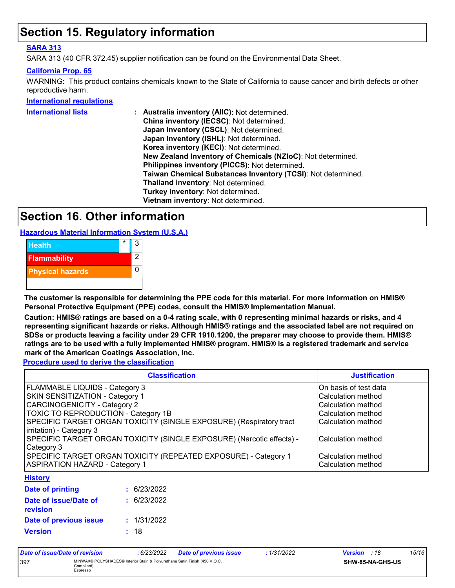### **Section 15. Regulatory information**

### **SARA 313**

SARA 313 (40 CFR 372.45) supplier notification can be found on the Environmental Data Sheet.

#### **California Prop. 65**

WARNING: This product contains chemicals known to the State of California to cause cancer and birth defects or other reproductive harm.

#### **International regulations**

| <b>International lists</b> | Australia inventory (AIIC): Not determined.                  |
|----------------------------|--------------------------------------------------------------|
|                            | China inventory (IECSC): Not determined.                     |
|                            | Japan inventory (CSCL): Not determined.                      |
|                            | Japan inventory (ISHL): Not determined.                      |
|                            | Korea inventory (KECI): Not determined.                      |
|                            | New Zealand Inventory of Chemicals (NZIoC): Not determined.  |
|                            | Philippines inventory (PICCS): Not determined.               |
|                            | Taiwan Chemical Substances Inventory (TCSI): Not determined. |
|                            | Thailand inventory: Not determined.                          |
|                            | Turkey inventory: Not determined.                            |
|                            | Vietnam inventory: Not determined.                           |
|                            |                                                              |

### **Section 16. Other information**

**Hazardous Material Information System (U.S.A.)**



**The customer is responsible for determining the PPE code for this material. For more information on HMIS® Personal Protective Equipment (PPE) codes, consult the HMIS® Implementation Manual.**

**Caution: HMIS® ratings are based on a 0-4 rating scale, with 0 representing minimal hazards or risks, and 4 representing significant hazards or risks. Although HMIS® ratings and the associated label are not required on SDSs or products leaving a facility under 29 CFR 1910.1200, the preparer may choose to provide them. HMIS® ratings are to be used with a fully implemented HMIS® program. HMIS® is a registered trademark and service mark of the American Coatings Association, Inc.**

**Procedure used to derive the classification**

| <b>Classification</b>                                                                                    | <b>Justification</b>                     |
|----------------------------------------------------------------------------------------------------------|------------------------------------------|
| <b>FLAMMABLE LIQUIDS - Category 3</b>                                                                    | On basis of test data                    |
| <b>SKIN SENSITIZATION - Category 1</b>                                                                   | Calculation method                       |
| <b>CARCINOGENICITY - Category 2</b>                                                                      | Calculation method                       |
| TOXIC TO REPRODUCTION - Category 1B                                                                      | Calculation method                       |
| SPECIFIC TARGET ORGAN TOXICITY (SINGLE EXPOSURE) (Respiratory tract<br>irritation) - Category 3          | Calculation method                       |
| SPECIFIC TARGET ORGAN TOXICITY (SINGLE EXPOSURE) (Narcotic effects) -<br>Category 3                      | Calculation method                       |
| SPECIFIC TARGET ORGAN TOXICITY (REPEATED EXPOSURE) - Category 1<br><b>ASPIRATION HAZARD - Category 1</b> | Calculation method<br>Calculation method |
| <b>Hietomi</b>                                                                                           |                                          |

#### **History**

| Date of printing                         | : 6/23/2022 |
|------------------------------------------|-------------|
| Date of issue/Date of<br><b>revision</b> | : 6/23/2022 |
| Date of previous issue                   | : 1/31/2022 |
| <b>Version</b>                           | : 18        |

| Date of issue/Date of revision |                                                                                                      | : 6/23/2022 | Date of previous issue | : 1/31/2022 | <b>Version</b> : 18 |                  | 15/16 |
|--------------------------------|------------------------------------------------------------------------------------------------------|-------------|------------------------|-------------|---------------------|------------------|-------|
| 397                            | MINWAX® POLYSHADES® Interior Stain & Polyurethane Satin Finish (450 V.O.C.<br>Compliant)<br>Espresso |             |                        |             |                     | SHW-85-NA-GHS-US |       |